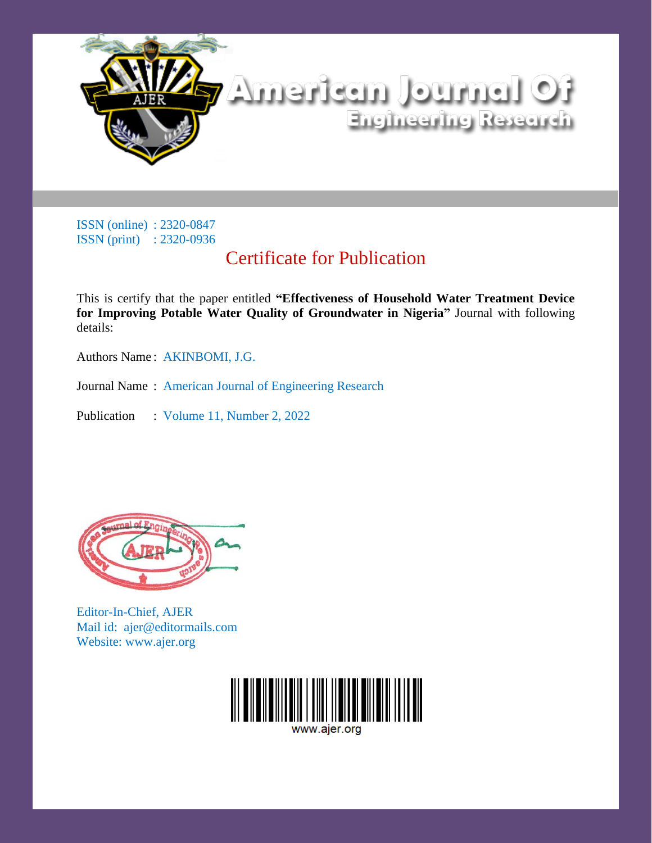

# Certificate for Publication

This is certify that the paper entitled **"Effectiveness of Household Water Treatment Device for Improving Potable Water Quality of Groundwater in Nigeria"** Journal with following details:

Authors Name : AKINBOMI, J.G.

Journal Name : American Journal of Engineering Research

Publication : Volume 11, Number 2, 2022



Editor-In-Chief, AJER Mail id: ajer@editormails.com Website: www.ajer.org

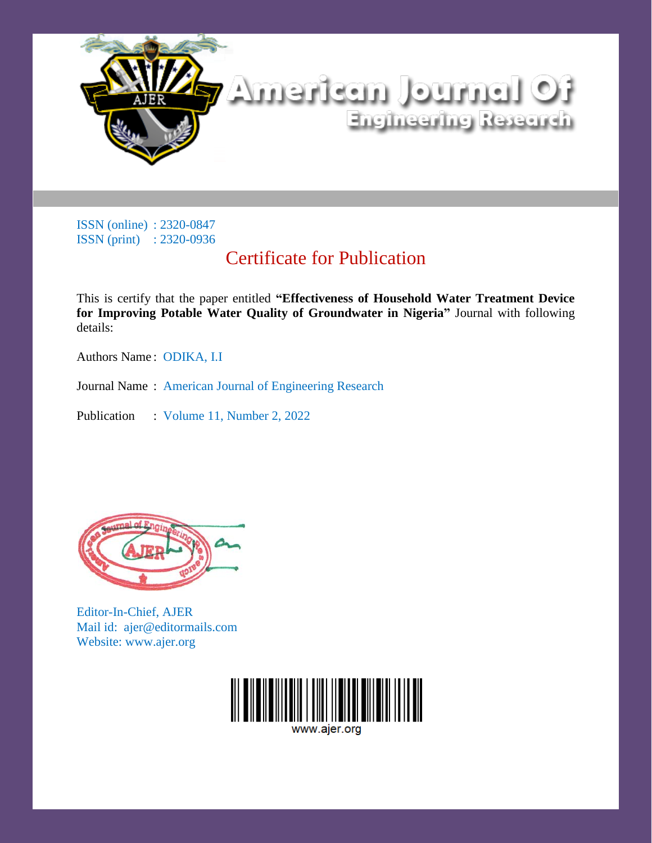

# Certificate for Publication

This is certify that the paper entitled **"Effectiveness of Household Water Treatment Device for Improving Potable Water Quality of Groundwater in Nigeria"** Journal with following details:

Authors Name : ODIKA, I.I

Journal Name : American Journal of Engineering Research

Publication : Volume 11, Number 2, 2022



Editor-In-Chief, AJER Mail id: ajer@editormails.com Website: www.ajer.org

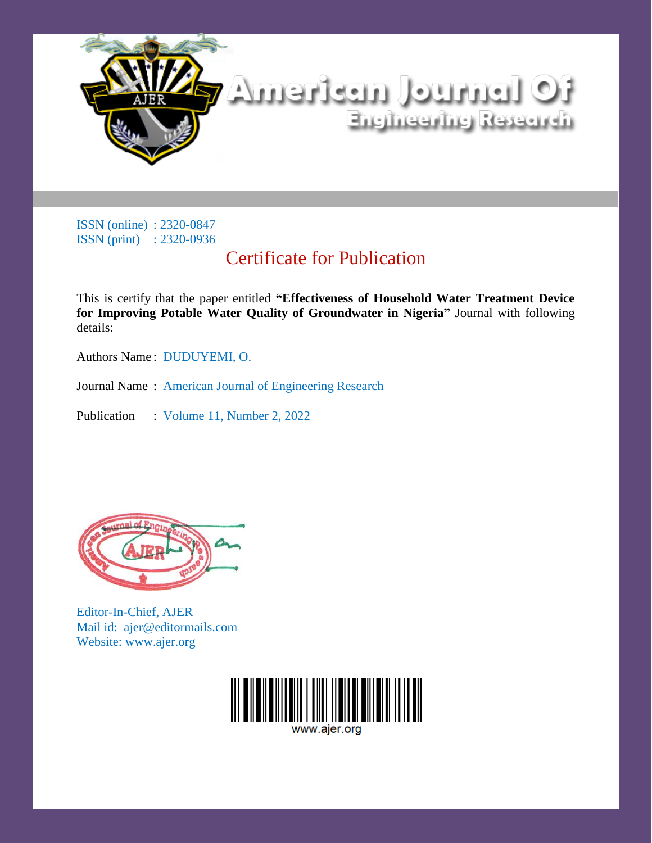

# Certificate for Publication

This is certify that the paper entitled **"Effectiveness of Household Water Treatment Device for Improving Potable Water Quality of Groundwater in Nigeria"** Journal with following details:

Authors Name : DUDUYEMI, O.

Journal Name : American Journal of Engineering Research

Publication : Volume 11, Number 2, 2022



Editor-In-Chief, AJER Mail id: ajer@editormails.com Website: www.ajer.org

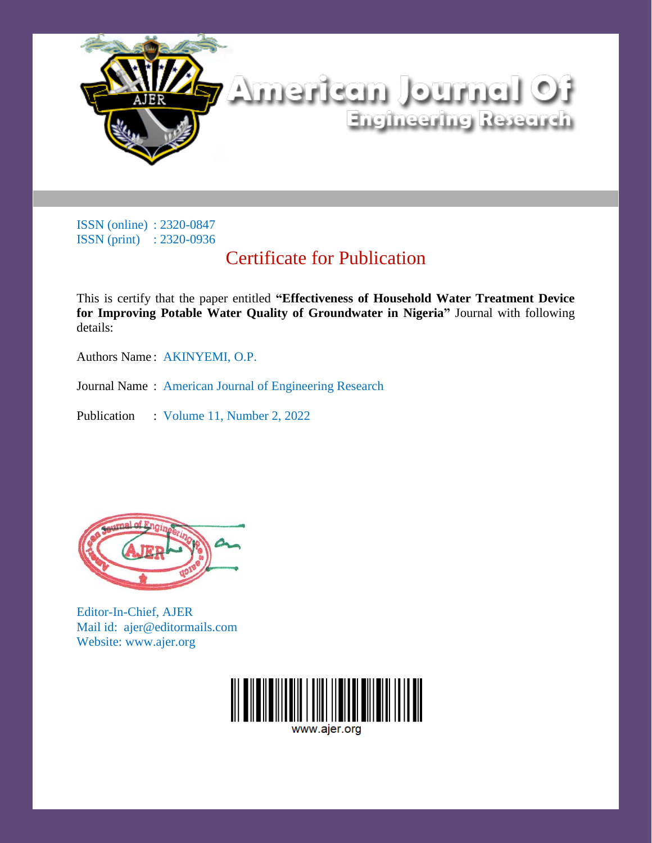

# Certificate for Publication

This is certify that the paper entitled **"Effectiveness of Household Water Treatment Device for Improving Potable Water Quality of Groundwater in Nigeria"** Journal with following details:

Authors Name : AKINYEMI, O.P.

Journal Name : American Journal of Engineering Research

Publication : Volume 11, Number 2, 2022



Editor-In-Chief, AJER Mail id: ajer@editormails.com Website: www.ajer.org

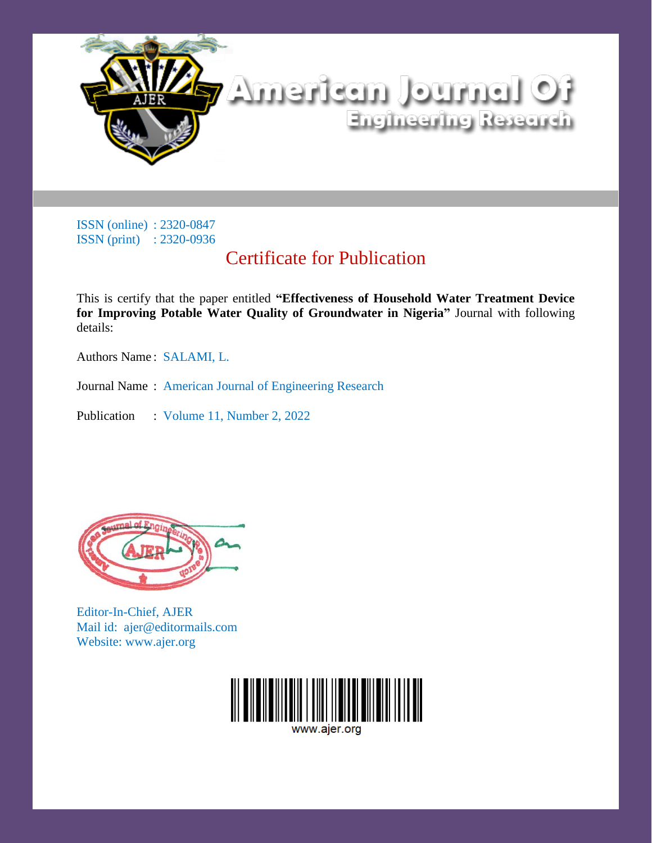

# Certificate for Publication

This is certify that the paper entitled **"Effectiveness of Household Water Treatment Device for Improving Potable Water Quality of Groundwater in Nigeria"** Journal with following details:

Authors Name : SALAMI, L.

Journal Name : American Journal of Engineering Research

Publication : Volume 11, Number 2, 2022



Editor-In-Chief, AJER Mail id: ajer@editormails.com Website: www.ajer.org

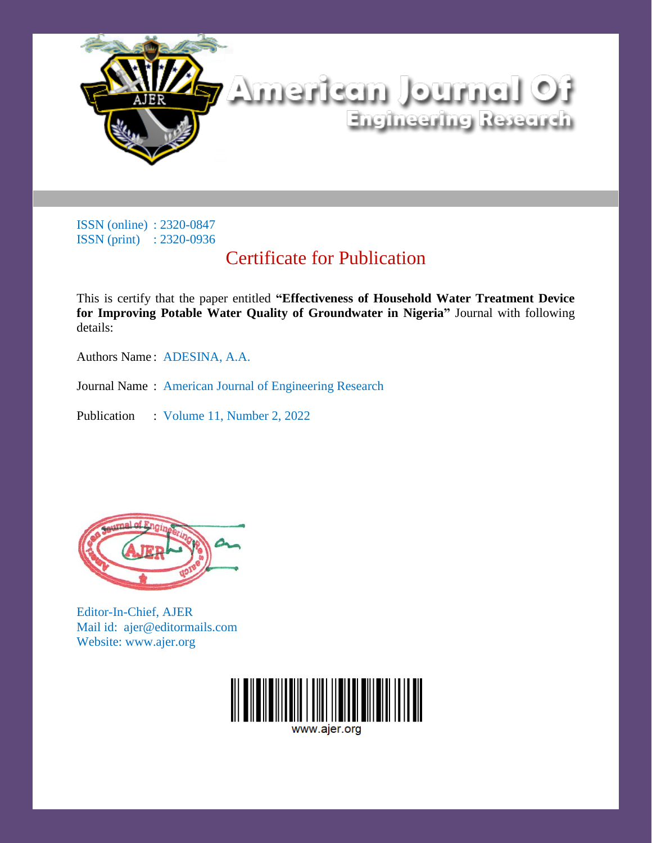

# Certificate for Publication

This is certify that the paper entitled **"Effectiveness of Household Water Treatment Device for Improving Potable Water Quality of Groundwater in Nigeria"** Journal with following details:

Authors Name : ADESINA, A.A.

Journal Name : American Journal of Engineering Research

Publication : Volume 11, Number 2, 2022



Editor-In-Chief, AJER Mail id: ajer@editormails.com Website: www.ajer.org